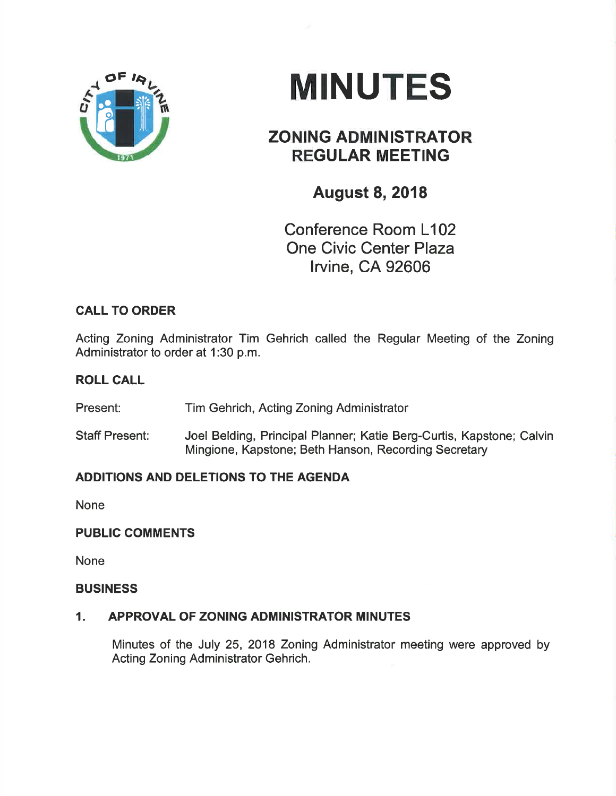

# **MINUTES**

## ZONING ADMINISTRATOR REGULAR MEETING

## August 8,2018

Conference Room L102 One Civic Center Plaza lrvine, CA 92606

### CALL TO ORDER

Acting Zoning Administrator Tim Gehrich called the Regular Meeting of the Zoning Administrator to order at 1:30 p.m.

#### ROLL CALL

Present: Tim Gehrich, Acting Zoning Administrator

Staff Present: Joel Belding, Principal Planner; Katie Berg-Curtis, Kapstone; Calvin Mingione, Kapstone; Beth Hanson, Recording Secretary

#### ADDITIONS AND DELETIONS TO THE AGENDA

None

#### PUBLIC COMMENTS

None

#### BUSINESS

#### 1. APPROVAL OF ZONING ADMINISTRATOR MINUTES

Minutes of the July 25, 2018 Zoning Administrator meeting were approved by Acting Zoning Administrator Gehrich.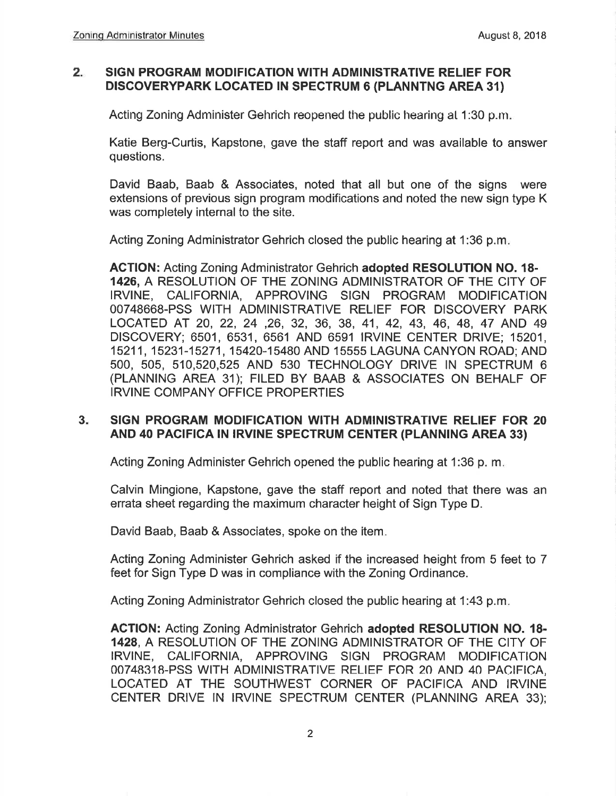#### 2 SIGN PROGRAM MODIFICATION WITH ADMINISTRATIVE RELIEF FOR DISCOVERYPARK LOCATED IN SPECTRUM 6 (PLANNTNG AREA 31)

Acting Zoning Administer Gehrich reopened the public hearing at 1:30 p.m.

Katie Berg-Curtis, Kapstone, gave the staff report and was available to answer questions,

David Baab, Baab & Associates, noted that all but one of the signs were extensions of previous sign program modifications and noted the new sign type K was completely internal to the site.

Acting Zoning Administrator Gehrich closed the public hearing at 1:36 p.m

ACTION: Acting Zoning Administrator Gehrich adopted RESOLUTION NO. l8- 1426, A RESOLUTION OF THE ZONING ADMINISTRATOR OF THE CITY OF IRVINE, CALIFORNIA, APPROVING SIGN PROGRAM MODIFICATION 00748668-PSS WITH ADMINISTRATIVE RELIEF FOR DISCOVERY PARK LOCATED AT 20, 22,24 ,26,32,36, 39, 41,42,43,46,49,47 AND <sup>49</sup> DISCOVERY; 6501, 6531, 6561 AND 6591 IRVINE CENTER DRIVE; 15201, 15211, 15231-15271, 15420-15480 AND 15555 LAGUNA CANYON ROAD; AND 5OO, 505, 510,520,525 AND 530 TECHNOLOGY DRIVE IN SPECTRUM 6 (PLANNING AREA 31); FILED BY BAAB & ASSOCIATES ON BEHALF OF IRVINE COMPANY OFFICE PROPERTIES

#### 3. SIGN PROGRAM MODIFICATION WITH ADMINISTRATIVE RELIEF FOR 20 AND 40 PACIFICA IN IRVINE SPECTRUM CENTER (PLANNING AREA 33)

Acting Zoning Administer Gehrich opened the public hearing at 1:36 p, m

Calvin Mingione, Kapstone, gave the staff report and noted that there was an errata sheet regarding the maximum character height of Sign Type D.

David Baab, Baab & Associates, spoke on the item

Acting Zoning Administer Gehrich asked if the increased height from 5 feet to 7 feet for Sign Type D was in compliance with the Zoning Ordinance.

Acting Zoning Administrator Gehrich closed the public hearing at 1:43 p.m

ACTION: Acting Zoning Administrator Gehrich adopted RESOLUTION NO. 18- 1428, A RESOLUTION OF THE ZONING ADMINISTRATOR OF THE CITY OF IRVINE, CALIFORNIA, APPROVING SIGN PROGRAM MODIFICATION 00748318-PSS WITH ADMINISTRATIVE RELIEF FOR 20 AND 40 PACIFICA, LOCATED AT THE SOUTHWEST CORNER OF PACIFICA AND IRVINE CENTER DRIVE IN IRVINE SPECTRUM CENTER (PLANNING AREA 33);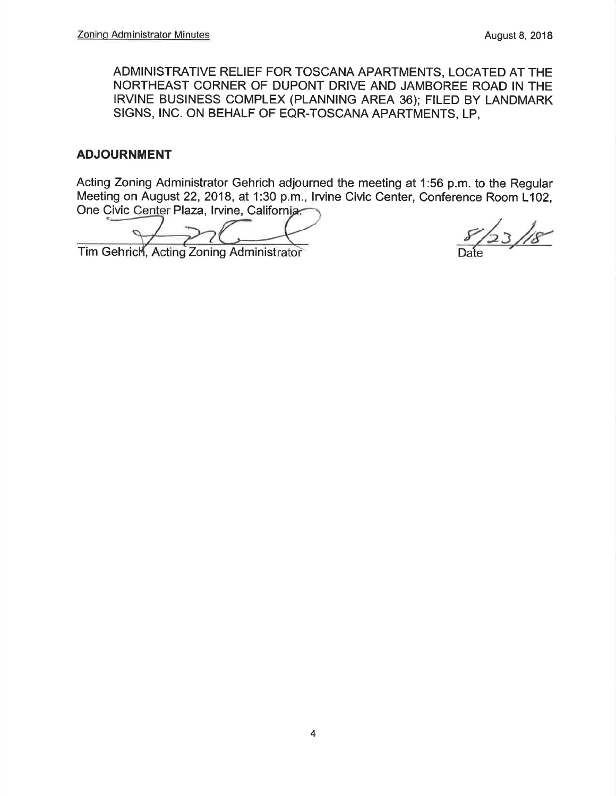ADMINISTRATIVE RELIEF FOR TOSCANA APARTMENTS, LOCATED AT THE NORTHEAST CORNER OF DUPONT DRIVE AND JAMBOREE ROAD IN THE IRVINE BUSINESS COMPLEX (PLANNING AREA 36); FILED BY LANDMARK SIGNS, INC. ON BEHALF OF EQR-TOSCANA APARTMENTS, LP,

#### ADJOURNMENT

Acting Zoning Administrator Gehrich adjourned the meeting at 1:56 p.m. to the Regular Meeting on August 22, 2018, at 1:30 p.m., Irvine Civic Center, Conference Room L102, One Civic Center Plaza, Irvine, California.

Tim Gehrich, Acting Zoning Administrator

 $123/18$